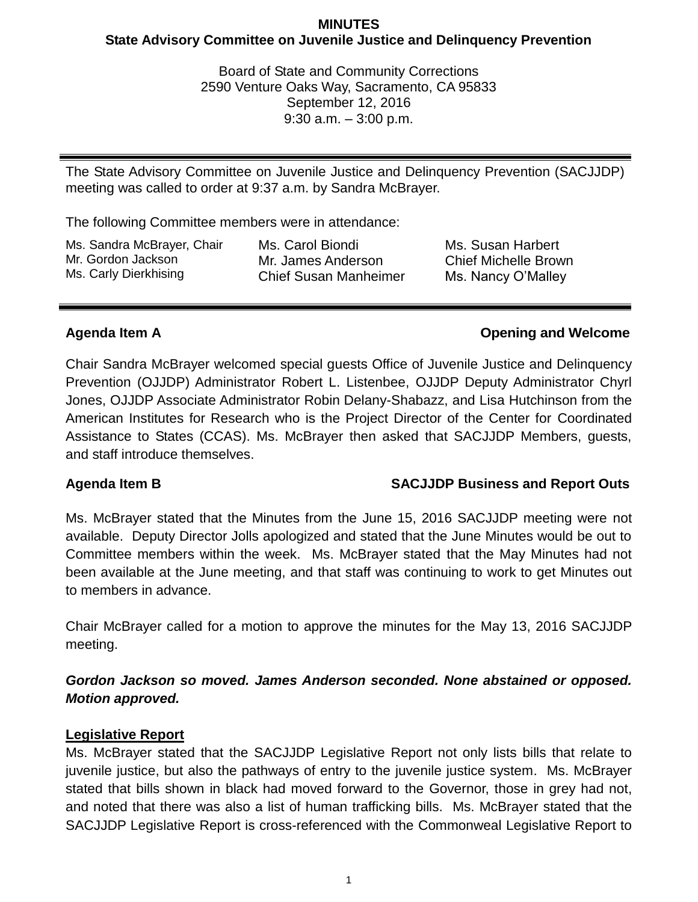## **MINUTES State Advisory Committee on Juvenile Justice and Delinquency Prevention**

Board of State and Community Corrections 2590 Venture Oaks Way, Sacramento, CA 95833 September 12, 2016 9:30 a.m. – 3:00 p.m.

The State Advisory Committee on Juvenile Justice and Delinquency Prevention (SACJJDP) meeting was called to order at 9:37 a.m. by Sandra McBrayer.

The following Committee members were in attendance:

Ms. Sandra McBrayer, Chair Mr. Gordon Jackson Ms. Carly Dierkhising

Ms. Carol Biondi Mr. James Anderson Chief Susan Manheimer Ms. Susan Harbert Chief Michelle Brown Ms. Nancy O'Malley

# **Agenda Item A Opening and Welcome**

Chair Sandra McBrayer welcomed special guests Office of Juvenile Justice and Delinquency Prevention (OJJDP) Administrator Robert L. Listenbee, OJJDP Deputy Administrator Chyrl Jones, OJJDP Associate Administrator Robin Delany-Shabazz, and Lisa Hutchinson from the American Institutes for Research who is the Project Director of the Center for Coordinated Assistance to States (CCAS). Ms. McBrayer then asked that SACJJDP Members, guests, and staff introduce themselves.

# **Agenda Item B SACJJDP Business and Report Outs**

Ms. McBrayer stated that the Minutes from the June 15, 2016 SACJJDP meeting were not available. Deputy Director Jolls apologized and stated that the June Minutes would be out to Committee members within the week. Ms. McBrayer stated that the May Minutes had not been available at the June meeting, and that staff was continuing to work to get Minutes out to members in advance.

Chair McBrayer called for a motion to approve the minutes for the May 13, 2016 SACJJDP meeting.

# *Gordon Jackson so moved. James Anderson seconded. None abstained or opposed. Motion approved.*

# **Legislative Report**

Ms. McBrayer stated that the SACJJDP Legislative Report not only lists bills that relate to juvenile justice, but also the pathways of entry to the juvenile justice system. Ms. McBrayer stated that bills shown in black had moved forward to the Governor, those in grey had not, and noted that there was also a list of human trafficking bills. Ms. McBrayer stated that the SACJJDP Legislative Report is cross-referenced with the Commonweal Legislative Report to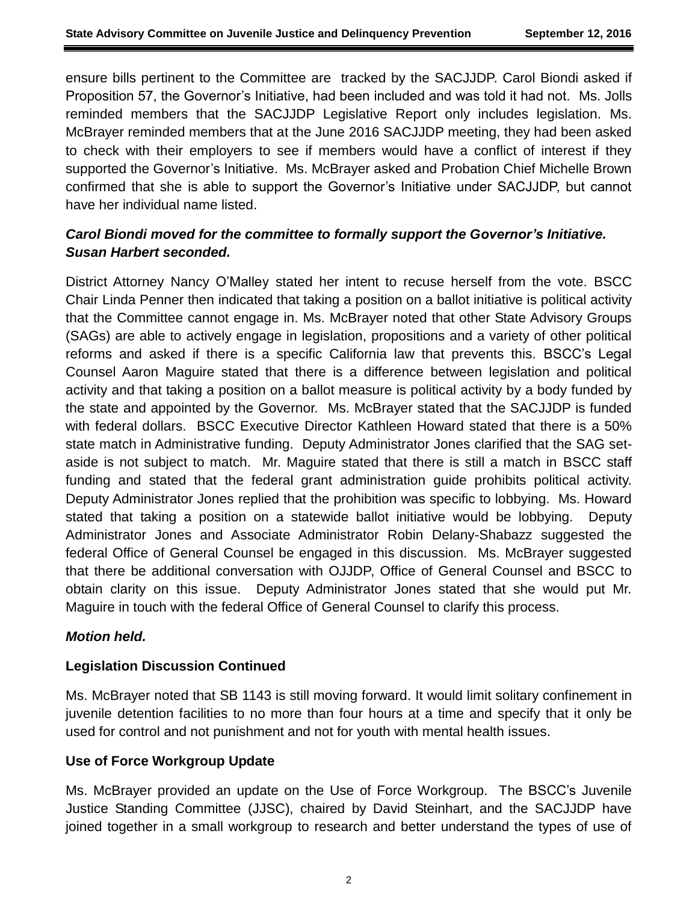ensure bills pertinent to the Committee are tracked by the SACJJDP. Carol Biondi asked if Proposition 57, the Governor's Initiative, had been included and was told it had not. Ms. Jolls reminded members that the SACJJDP Legislative Report only includes legislation. Ms. McBrayer reminded members that at the June 2016 SACJJDP meeting, they had been asked to check with their employers to see if members would have a conflict of interest if they supported the Governor's Initiative. Ms. McBrayer asked and Probation Chief Michelle Brown confirmed that she is able to support the Governor's Initiative under SACJJDP, but cannot have her individual name listed.

# *Carol Biondi moved for the committee to formally support the Governor's Initiative. Susan Harbert seconded.*

District Attorney Nancy O'Malley stated her intent to recuse herself from the vote. BSCC Chair Linda Penner then indicated that taking a position on a ballot initiative is political activity that the Committee cannot engage in. Ms. McBrayer noted that other State Advisory Groups (SAGs) are able to actively engage in legislation, propositions and a variety of other political reforms and asked if there is a specific California law that prevents this. BSCC's Legal Counsel Aaron Maguire stated that there is a difference between legislation and political activity and that taking a position on a ballot measure is political activity by a body funded by the state and appointed by the Governor. Ms. McBrayer stated that the SACJJDP is funded with federal dollars. BSCC Executive Director Kathleen Howard stated that there is a 50% state match in Administrative funding. Deputy Administrator Jones clarified that the SAG setaside is not subject to match. Mr. Maguire stated that there is still a match in BSCC staff funding and stated that the federal grant administration guide prohibits political activity. Deputy Administrator Jones replied that the prohibition was specific to lobbying. Ms. Howard stated that taking a position on a statewide ballot initiative would be lobbying. Deputy Administrator Jones and Associate Administrator Robin Delany-Shabazz suggested the federal Office of General Counsel be engaged in this discussion. Ms. McBrayer suggested that there be additional conversation with OJJDP, Office of General Counsel and BSCC to obtain clarity on this issue. Deputy Administrator Jones stated that she would put Mr. Maguire in touch with the federal Office of General Counsel to clarify this process.

## *Motion held.*

## **Legislation Discussion Continued**

Ms. McBrayer noted that SB 1143 is still moving forward. It would limit solitary confinement in juvenile detention facilities to no more than four hours at a time and specify that it only be used for control and not punishment and not for youth with mental health issues.

## **Use of Force Workgroup Update**

Ms. McBrayer provided an update on the Use of Force Workgroup. The BSCC's Juvenile Justice Standing Committee (JJSC), chaired by David Steinhart, and the SACJJDP have joined together in a small workgroup to research and better understand the types of use of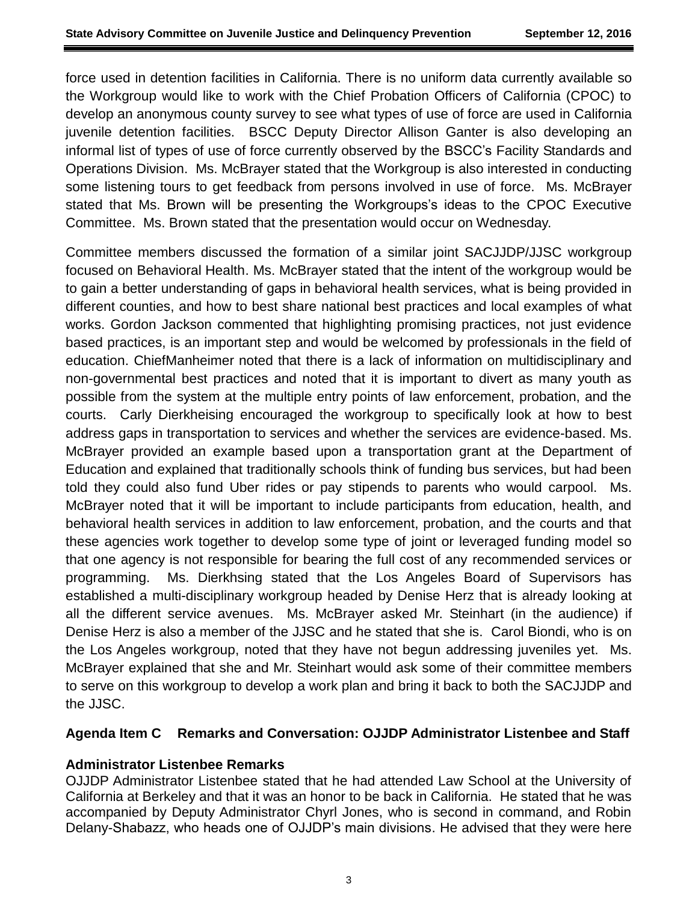force used in detention facilities in California. There is no uniform data currently available so the Workgroup would like to work with the Chief Probation Officers of California (CPOC) to develop an anonymous county survey to see what types of use of force are used in California juvenile detention facilities. BSCC Deputy Director Allison Ganter is also developing an informal list of types of use of force currently observed by the BSCC's Facility Standards and Operations Division. Ms. McBrayer stated that the Workgroup is also interested in conducting some listening tours to get feedback from persons involved in use of force. Ms. McBrayer stated that Ms. Brown will be presenting the Workgroups's ideas to the CPOC Executive Committee. Ms. Brown stated that the presentation would occur on Wednesday.

Committee members discussed the formation of a similar joint SACJJDP/JJSC workgroup focused on Behavioral Health. Ms. McBrayer stated that the intent of the workgroup would be to gain a better understanding of gaps in behavioral health services, what is being provided in different counties, and how to best share national best practices and local examples of what works. Gordon Jackson commented that highlighting promising practices, not just evidence based practices, is an important step and would be welcomed by professionals in the field of education. ChiefManheimer noted that there is a lack of information on multidisciplinary and non-governmental best practices and noted that it is important to divert as many youth as possible from the system at the multiple entry points of law enforcement, probation, and the courts. Carly Dierkheising encouraged the workgroup to specifically look at how to best address gaps in transportation to services and whether the services are evidence-based. Ms. McBrayer provided an example based upon a transportation grant at the Department of Education and explained that traditionally schools think of funding bus services, but had been told they could also fund Uber rides or pay stipends to parents who would carpool. Ms. McBrayer noted that it will be important to include participants from education, health, and behavioral health services in addition to law enforcement, probation, and the courts and that these agencies work together to develop some type of joint or leveraged funding model so that one agency is not responsible for bearing the full cost of any recommended services or programming. Ms. Dierkhsing stated that the Los Angeles Board of Supervisors has established a multi-disciplinary workgroup headed by Denise Herz that is already looking at all the different service avenues. Ms. McBrayer asked Mr. Steinhart (in the audience) if Denise Herz is also a member of the JJSC and he stated that she is. Carol Biondi, who is on the Los Angeles workgroup, noted that they have not begun addressing juveniles yet. Ms. McBrayer explained that she and Mr. Steinhart would ask some of their committee members to serve on this workgroup to develop a work plan and bring it back to both the SACJJDP and the JJSC.

## **Agenda Item C Remarks and Conversation: OJJDP Administrator Listenbee and Staff**

## **Administrator Listenbee Remarks**

OJJDP Administrator Listenbee stated that he had attended Law School at the University of California at Berkeley and that it was an honor to be back in California. He stated that he was accompanied by Deputy Administrator Chyrl Jones, who is second in command, and Robin Delany-Shabazz, who heads one of OJJDP's main divisions. He advised that they were here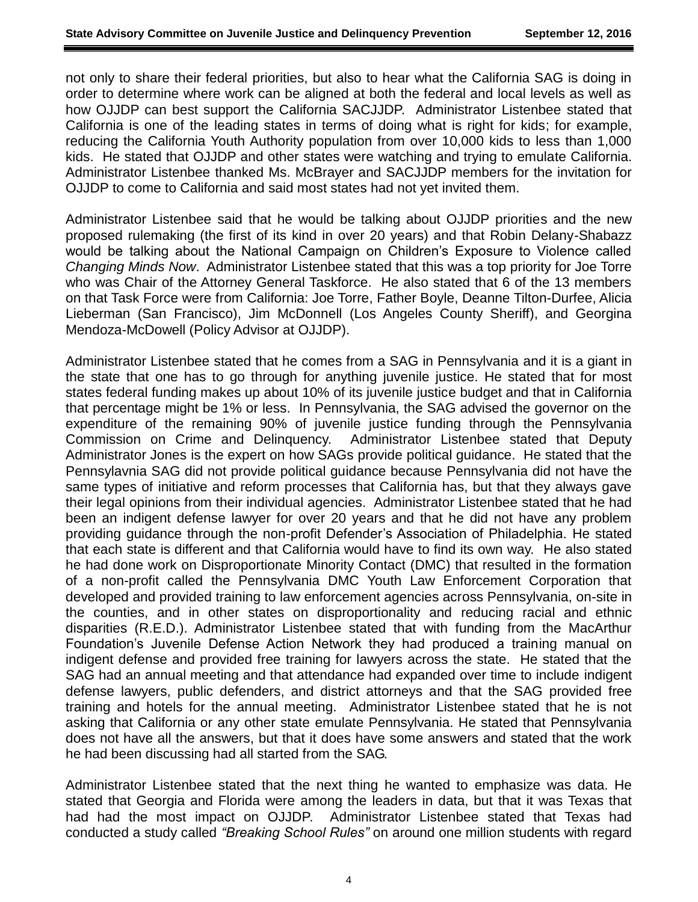not only to share their federal priorities, but also to hear what the California SAG is doing in order to determine where work can be aligned at both the federal and local levels as well as how OJJDP can best support the California SACJJDP. Administrator Listenbee stated that California is one of the leading states in terms of doing what is right for kids; for example, reducing the California Youth Authority population from over 10,000 kids to less than 1,000 kids. He stated that OJJDP and other states were watching and trying to emulate California. Administrator Listenbee thanked Ms. McBrayer and SACJJDP members for the invitation for OJJDP to come to California and said most states had not yet invited them.

Administrator Listenbee said that he would be talking about OJJDP priorities and the new proposed rulemaking (the first of its kind in over 20 years) and that Robin Delany-Shabazz would be talking about the National Campaign on Children's Exposure to Violence called *Changing Minds Now*. Administrator Listenbee stated that this was a top priority for Joe Torre who was Chair of the Attorney General Taskforce. He also stated that 6 of the 13 members on that Task Force were from California: Joe Torre, Father Boyle, Deanne Tilton-Durfee, Alicia Lieberman (San Francisco), Jim McDonnell (Los Angeles County Sheriff), and Georgina Mendoza-McDowell (Policy Advisor at OJJDP).

Administrator Listenbee stated that he comes from a SAG in Pennsylvania and it is a giant in the state that one has to go through for anything juvenile justice. He stated that for most states federal funding makes up about 10% of its juvenile justice budget and that in California that percentage might be 1% or less. In Pennsylvania, the SAG advised the governor on the expenditure of the remaining 90% of juvenile justice funding through the Pennsylvania Commission on Crime and Delinquency. Administrator Listenbee stated that Deputy Administrator Jones is the expert on how SAGs provide political guidance. He stated that the Pennsylavnia SAG did not provide political guidance because Pennsylvania did not have the same types of initiative and reform processes that California has, but that they always gave their legal opinions from their individual agencies. Administrator Listenbee stated that he had been an indigent defense lawyer for over 20 years and that he did not have any problem providing guidance through the non-profit Defender's Association of Philadelphia. He stated that each state is different and that California would have to find its own way. He also stated he had done work on Disproportionate Minority Contact (DMC) that resulted in the formation of a non-profit called the Pennsylvania DMC Youth Law Enforcement Corporation that developed and provided training to law enforcement agencies across Pennsylvania, on-site in the counties, and in other states on disproportionality and reducing racial and ethnic disparities (R.E.D.). Administrator Listenbee stated that with funding from the MacArthur Foundation's Juvenile Defense Action Network they had produced a training manual on indigent defense and provided free training for lawyers across the state. He stated that the SAG had an annual meeting and that attendance had expanded over time to include indigent defense lawyers, public defenders, and district attorneys and that the SAG provided free training and hotels for the annual meeting. Administrator Listenbee stated that he is not asking that California or any other state emulate Pennsylvania. He stated that Pennsylvania does not have all the answers, but that it does have some answers and stated that the work he had been discussing had all started from the SAG.

Administrator Listenbee stated that the next thing he wanted to emphasize was data. He stated that Georgia and Florida were among the leaders in data, but that it was Texas that had had the most impact on OJJDP. Administrator Listenbee stated that Texas had conducted a study called *"Breaking School Rules"* on around one million students with regard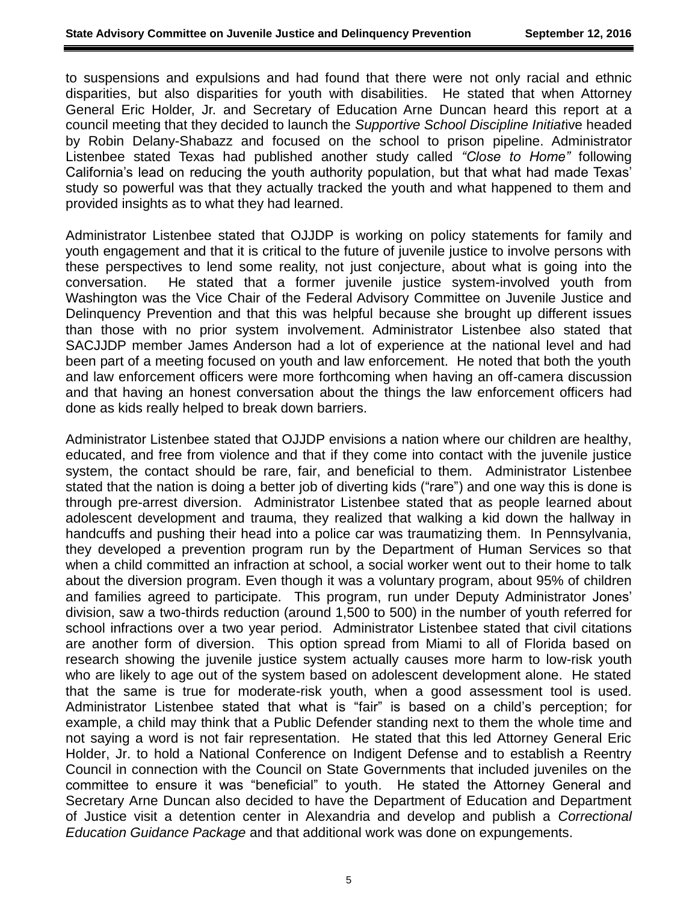to suspensions and expulsions and had found that there were not only racial and ethnic disparities, but also disparities for youth with disabilities. He stated that when Attorney General Eric Holder, Jr. and Secretary of Education Arne Duncan heard this report at a council meeting that they decided to launch the *Supportive School Discipline Initiat*ive headed by Robin Delany-Shabazz and focused on the school to prison pipeline. Administrator Listenbee stated Texas had published another study called *"Close to Home"* following California's lead on reducing the youth authority population, but that what had made Texas' study so powerful was that they actually tracked the youth and what happened to them and provided insights as to what they had learned.

Administrator Listenbee stated that OJJDP is working on policy statements for family and youth engagement and that it is critical to the future of juvenile justice to involve persons with these perspectives to lend some reality, not just conjecture, about what is going into the conversation. He stated that a former juvenile justice system-involved youth from Washington was the Vice Chair of the Federal Advisory Committee on Juvenile Justice and Delinquency Prevention and that this was helpful because she brought up different issues than those with no prior system involvement. Administrator Listenbee also stated that SACJJDP member James Anderson had a lot of experience at the national level and had been part of a meeting focused on youth and law enforcement. He noted that both the youth and law enforcement officers were more forthcoming when having an off-camera discussion and that having an honest conversation about the things the law enforcement officers had done as kids really helped to break down barriers.

Administrator Listenbee stated that OJJDP envisions a nation where our children are healthy, educated, and free from violence and that if they come into contact with the juvenile justice system, the contact should be rare, fair, and beneficial to them. Administrator Listenbee stated that the nation is doing a better job of diverting kids ("rare") and one way this is done is through pre-arrest diversion. Administrator Listenbee stated that as people learned about adolescent development and trauma, they realized that walking a kid down the hallway in handcuffs and pushing their head into a police car was traumatizing them. In Pennsylvania, they developed a prevention program run by the Department of Human Services so that when a child committed an infraction at school, a social worker went out to their home to talk about the diversion program. Even though it was a voluntary program, about 95% of children and families agreed to participate. This program, run under Deputy Administrator Jones' division, saw a two-thirds reduction (around 1,500 to 500) in the number of youth referred for school infractions over a two year period. Administrator Listenbee stated that civil citations are another form of diversion. This option spread from Miami to all of Florida based on research showing the juvenile justice system actually causes more harm to low-risk youth who are likely to age out of the system based on adolescent development alone. He stated that the same is true for moderate-risk youth, when a good assessment tool is used. Administrator Listenbee stated that what is "fair" is based on a child's perception; for example, a child may think that a Public Defender standing next to them the whole time and not saying a word is not fair representation. He stated that this led Attorney General Eric Holder, Jr. to hold a National Conference on Indigent Defense and to establish a Reentry Council in connection with the Council on State Governments that included juveniles on the committee to ensure it was "beneficial" to youth. He stated the Attorney General and Secretary Arne Duncan also decided to have the Department of Education and Department of Justice visit a detention center in Alexandria and develop and publish a *Correctional Education Guidance Package* and that additional work was done on expungements.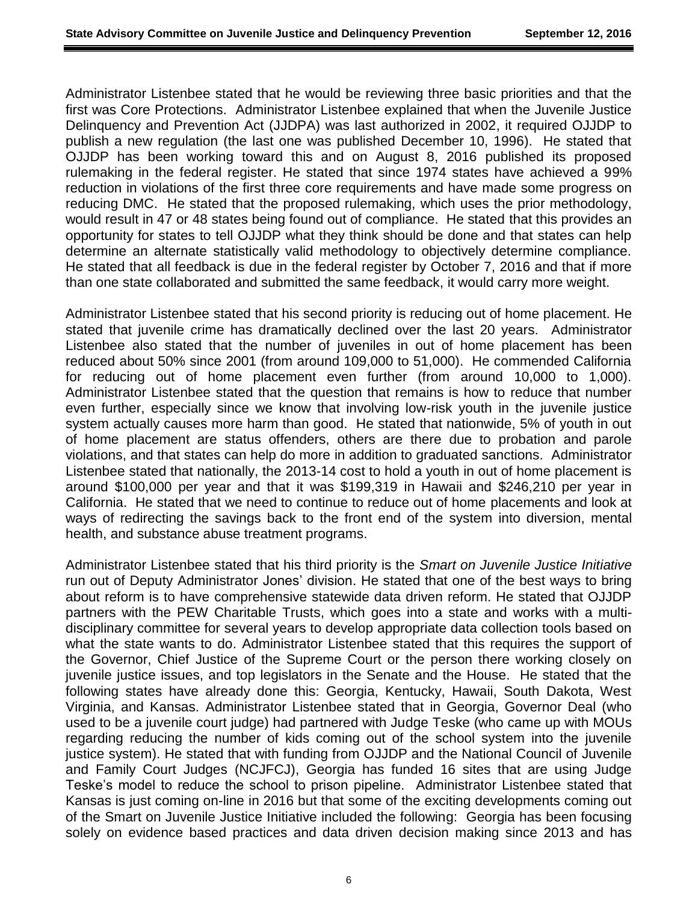Administrator Listenbee stated that he would be reviewing three basic priorities and that the first was Core Protections. Administrator Listenbee explained that when the Juvenile Justice Delinquency and Prevention Act (JJDPA) was last authorized in 2002, it required OJJDP to publish a new regulation (the last one was published December 10, 1996). He stated that OJJDP has been working toward this and on August 8, 2016 published its proposed rulemaking in the federal register. He stated that since 1974 states have achieved a 99% reduction in violations of the first three core requirements and have made some progress on reducing DMC. He stated that the proposed rulemaking, which uses the prior methodology, would result in 47 or 48 states being found out of compliance. He stated that this provides an opportunity for states to tell OJJDP what they think should be done and that states can help determine an alternate statistically valid methodology to objectively determine compliance. He stated that all feedback is due in the federal register by October 7, 2016 and that if more than one state collaborated and submitted the same feedback, it would carry more weight.

Administrator Listenbee stated that his second priority is reducing out of home placement. He stated that juvenile crime has dramatically declined over the last 20 years. Administrator Listenbee also stated that the number of juveniles in out of home placement has been reduced about 50% since 2001 (from around 109,000 to 51,000). He commended California for reducing out of home placement even further (from around 10,000 to 1,000). Administrator Listenbee stated that the question that remains is how to reduce that number even further, especially since we know that involving low-risk youth in the juvenile justice system actually causes more harm than good. He stated that nationwide, 5% of youth in out of home placement are status offenders, others are there due to probation and parole violations, and that states can help do more in addition to graduated sanctions. Administrator Listenbee stated that nationally, the 2013-14 cost to hold a youth in out of home placement is around \$100,000 per year and that it was \$199,319 in Hawaii and \$246,210 per year in California. He stated that we need to continue to reduce out of home placements and look at ways of redirecting the savings back to the front end of the system into diversion, mental health, and substance abuse treatment programs.

Administrator Listenbee stated that his third priority is the *Smart on Juvenile Justice Initiative* run out of Deputy Administrator Jones' division. He stated that one of the best ways to bring about reform is to have comprehensive statewide data driven reform. He stated that OJJDP partners with the PEW Charitable Trusts, which goes into a state and works with a multidisciplinary committee for several years to develop appropriate data collection tools based on what the state wants to do. Administrator Listenbee stated that this requires the support of the Governor, Chief Justice of the Supreme Court or the person there working closely on juvenile justice issues, and top legislators in the Senate and the House. He stated that the following states have already done this: Georgia, Kentucky, Hawaii, South Dakota, West Virginia, and Kansas. Administrator Listenbee stated that in Georgia, Governor Deal (who used to be a juvenile court judge) had partnered with Judge Teske (who came up with MOUs regarding reducing the number of kids coming out of the school system into the juvenile justice system). He stated that with funding from OJJDP and the National Council of Juvenile and Family Court Judges (NCJFCJ), Georgia has funded 16 sites that are using Judge Teske's model to reduce the school to prison pipeline. Administrator Listenbee stated that Kansas is just coming on-line in 2016 but that some of the exciting developments coming out of the Smart on Juvenile Justice Initiative included the following: Georgia has been focusing solely on evidence based practices and data driven decision making since 2013 and has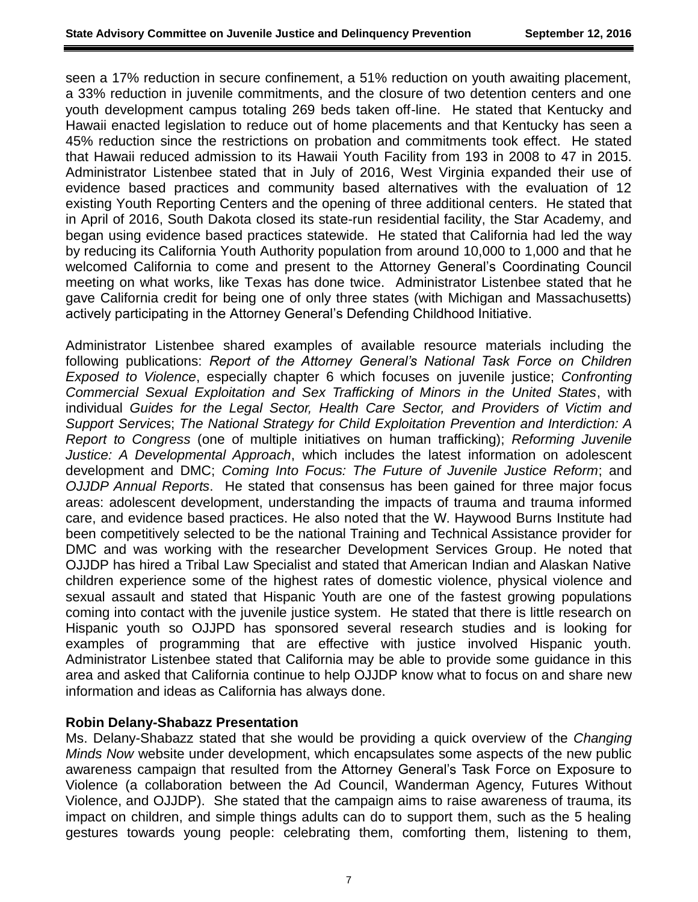seen a 17% reduction in secure confinement, a 51% reduction on youth awaiting placement, a 33% reduction in juvenile commitments, and the closure of two detention centers and one youth development campus totaling 269 beds taken off-line. He stated that Kentucky and Hawaii enacted legislation to reduce out of home placements and that Kentucky has seen a 45% reduction since the restrictions on probation and commitments took effect. He stated that Hawaii reduced admission to its Hawaii Youth Facility from 193 in 2008 to 47 in 2015. Administrator Listenbee stated that in July of 2016, West Virginia expanded their use of evidence based practices and community based alternatives with the evaluation of 12 existing Youth Reporting Centers and the opening of three additional centers. He stated that in April of 2016, South Dakota closed its state-run residential facility, the Star Academy, and began using evidence based practices statewide. He stated that California had led the way by reducing its California Youth Authority population from around 10,000 to 1,000 and that he welcomed California to come and present to the Attorney General's Coordinating Council meeting on what works, like Texas has done twice. Administrator Listenbee stated that he gave California credit for being one of only three states (with Michigan and Massachusetts) actively participating in the Attorney General's Defending Childhood Initiative.

Administrator Listenbee shared examples of available resource materials including the following publications: *Report of the Attorney General's National Task Force on Children Exposed to Violence*, especially chapter 6 which focuses on juvenile justice; *Confronting Commercial Sexual Exploitation and Sex Trafficking of Minors in the United States*, with individual *Guides for the Legal Sector, Health Care Sector, and Providers of Victim and Support Servic*es; *The National Strategy for Child Exploitation Prevention and Interdiction: A Report to Congress* (one of multiple initiatives on human trafficking); *Reforming Juvenile Justice: A Developmental Approach*, which includes the latest information on adolescent development and DMC; *Coming Into Focus: The Future of Juvenile Justice Reform*; and *OJJDP Annual Reports*. He stated that consensus has been gained for three major focus areas: adolescent development, understanding the impacts of trauma and trauma informed care, and evidence based practices. He also noted that the W. Haywood Burns Institute had been competitively selected to be the national Training and Technical Assistance provider for DMC and was working with the researcher Development Services Group. He noted that OJJDP has hired a Tribal Law Specialist and stated that American Indian and Alaskan Native children experience some of the highest rates of domestic violence, physical violence and sexual assault and stated that Hispanic Youth are one of the fastest growing populations coming into contact with the juvenile justice system. He stated that there is little research on Hispanic youth so OJJPD has sponsored several research studies and is looking for examples of programming that are effective with justice involved Hispanic youth. Administrator Listenbee stated that California may be able to provide some guidance in this area and asked that California continue to help OJJDP know what to focus on and share new information and ideas as California has always done.

#### **Robin Delany-Shabazz Presentation**

Ms. Delany-Shabazz stated that she would be providing a quick overview of the *Changing Minds Now* website under development, which encapsulates some aspects of the new public awareness campaign that resulted from the Attorney General's Task Force on Exposure to Violence (a collaboration between the Ad Council, Wanderman Agency, Futures Without Violence, and OJJDP). She stated that the campaign aims to raise awareness of trauma, its impact on children, and simple things adults can do to support them, such as the 5 healing gestures towards young people: celebrating them, comforting them, listening to them,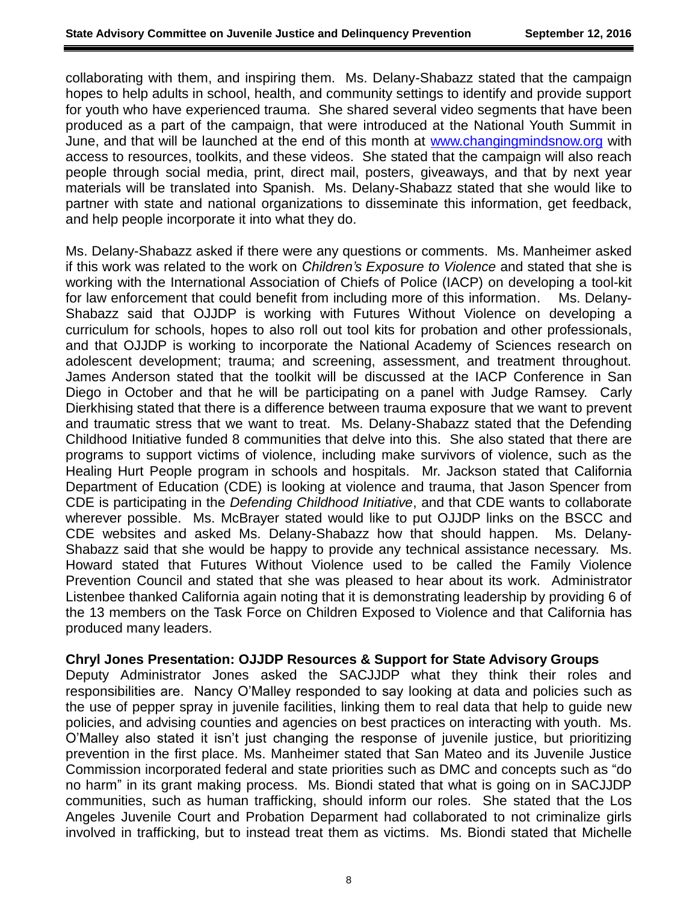collaborating with them, and inspiring them. Ms. Delany-Shabazz stated that the campaign hopes to help adults in school, health, and community settings to identify and provide support for youth who have experienced trauma. She shared several video segments that have been produced as a part of the campaign, that were introduced at the National Youth Summit in June, and that will be launched at the end of this month at [www.changingmindsnow.org](http://www.changingmindsnow.org/) with access to resources, toolkits, and these videos. She stated that the campaign will also reach people through social media, print, direct mail, posters, giveaways, and that by next year materials will be translated into Spanish. Ms. Delany-Shabazz stated that she would like to partner with state and national organizations to disseminate this information, get feedback, and help people incorporate it into what they do.

Ms. Delany-Shabazz asked if there were any questions or comments. Ms. Manheimer asked if this work was related to the work on *Children's Exposure to Violence* and stated that she is working with the International Association of Chiefs of Police (IACP) on developing a tool-kit for law enforcement that could benefit from including more of this information. Ms. Delany-Shabazz said that OJJDP is working with Futures Without Violence on developing a curriculum for schools, hopes to also roll out tool kits for probation and other professionals, and that OJJDP is working to incorporate the National Academy of Sciences research on adolescent development; trauma; and screening, assessment, and treatment throughout. James Anderson stated that the toolkit will be discussed at the IACP Conference in San Diego in October and that he will be participating on a panel with Judge Ramsey. Carly Dierkhising stated that there is a difference between trauma exposure that we want to prevent and traumatic stress that we want to treat. Ms. Delany-Shabazz stated that the Defending Childhood Initiative funded 8 communities that delve into this. She also stated that there are programs to support victims of violence, including make survivors of violence, such as the Healing Hurt People program in schools and hospitals. Mr. Jackson stated that California Department of Education (CDE) is looking at violence and trauma, that Jason Spencer from CDE is participating in the *Defending Childhood Initiative*, and that CDE wants to collaborate wherever possible. Ms. McBrayer stated would like to put OJJDP links on the BSCC and CDE websites and asked Ms. Delany-Shabazz how that should happen. Ms. Delany-Shabazz said that she would be happy to provide any technical assistance necessary. Ms. Howard stated that Futures Without Violence used to be called the Family Violence Prevention Council and stated that she was pleased to hear about its work. Administrator Listenbee thanked California again noting that it is demonstrating leadership by providing 6 of the 13 members on the Task Force on Children Exposed to Violence and that California has produced many leaders.

#### **Chryl Jones Presentation: OJJDP Resources & Support for State Advisory Groups**

Deputy Administrator Jones asked the SACJJDP what they think their roles and responsibilities are. Nancy O'Malley responded to say looking at data and policies such as the use of pepper spray in juvenile facilities, linking them to real data that help to guide new policies, and advising counties and agencies on best practices on interacting with youth. Ms. O'Malley also stated it isn't just changing the response of juvenile justice, but prioritizing prevention in the first place. Ms. Manheimer stated that San Mateo and its Juvenile Justice Commission incorporated federal and state priorities such as DMC and concepts such as "do no harm" in its grant making process. Ms. Biondi stated that what is going on in SACJJDP communities, such as human trafficking, should inform our roles. She stated that the Los Angeles Juvenile Court and Probation Deparment had collaborated to not criminalize girls involved in trafficking, but to instead treat them as victims. Ms. Biondi stated that Michelle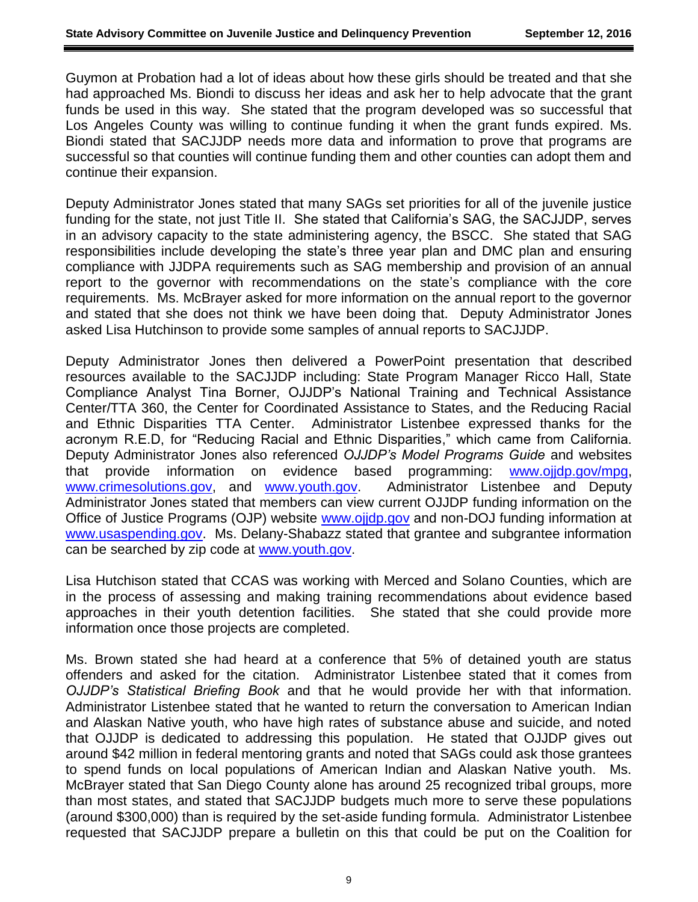Guymon at Probation had a lot of ideas about how these girls should be treated and that she had approached Ms. Biondi to discuss her ideas and ask her to help advocate that the grant funds be used in this way. She stated that the program developed was so successful that Los Angeles County was willing to continue funding it when the grant funds expired. Ms. Biondi stated that SACJJDP needs more data and information to prove that programs are successful so that counties will continue funding them and other counties can adopt them and continue their expansion.

Deputy Administrator Jones stated that many SAGs set priorities for all of the juvenile justice funding for the state, not just Title II. She stated that California's SAG, the SACJJDP, serves in an advisory capacity to the state administering agency, the BSCC. She stated that SAG responsibilities include developing the state's three year plan and DMC plan and ensuring compliance with JJDPA requirements such as SAG membership and provision of an annual report to the governor with recommendations on the state's compliance with the core requirements. Ms. McBrayer asked for more information on the annual report to the governor and stated that she does not think we have been doing that. Deputy Administrator Jones asked Lisa Hutchinson to provide some samples of annual reports to SACJJDP.

Deputy Administrator Jones then delivered a PowerPoint presentation that described resources available to the SACJJDP including: State Program Manager Ricco Hall, State Compliance Analyst Tina Borner, OJJDP's National Training and Technical Assistance Center/TTA 360, the Center for Coordinated Assistance to States, and the Reducing Racial and Ethnic Disparities TTA Center. Administrator Listenbee expressed thanks for the acronym R.E.D, for "Reducing Racial and Ethnic Disparities," which came from California. Deputy Administrator Jones also referenced *OJJDP's Model Programs Guide* and websites that provide information on evidence based programming: [www.ojjdp.gov/mpg,](http://www.ojjdp.gov/mpg) [www.crimesolutions.gov,](http://www.crimesolutions.gov/) and [www.youth.gov.](http://www.youth.gov/) Administrator Listenbee and Deputy Administrator Jones stated that members can view current OJJDP funding information on the Office of Justice Programs (OJP) website [www.ojjdp.gov](http://www.ojjdp.gov/) and non-DOJ funding information at [www.usaspending.gov.](http://www.usaspending.gov/) Ms. Delany-Shabazz stated that grantee and subgrantee information can be searched by zip code at [www.youth.gov.](http://www.youth.gov/)

Lisa Hutchison stated that CCAS was working with Merced and Solano Counties, which are in the process of assessing and making training recommendations about evidence based approaches in their youth detention facilities. She stated that she could provide more information once those projects are completed.

Ms. Brown stated she had heard at a conference that 5% of detained youth are status offenders and asked for the citation. Administrator Listenbee stated that it comes from *OJJDP's Statistical Briefing Book* and that he would provide her with that information. Administrator Listenbee stated that he wanted to return the conversation to American Indian and Alaskan Native youth, who have high rates of substance abuse and suicide, and noted that OJJDP is dedicated to addressing this population. He stated that OJJDP gives out around \$42 million in federal mentoring grants and noted that SAGs could ask those grantees to spend funds on local populations of American Indian and Alaskan Native youth. Ms. McBrayer stated that San Diego County alone has around 25 recognized tribal groups, more than most states, and stated that SACJJDP budgets much more to serve these populations (around \$300,000) than is required by the set-aside funding formula. Administrator Listenbee requested that SACJJDP prepare a bulletin on this that could be put on the Coalition for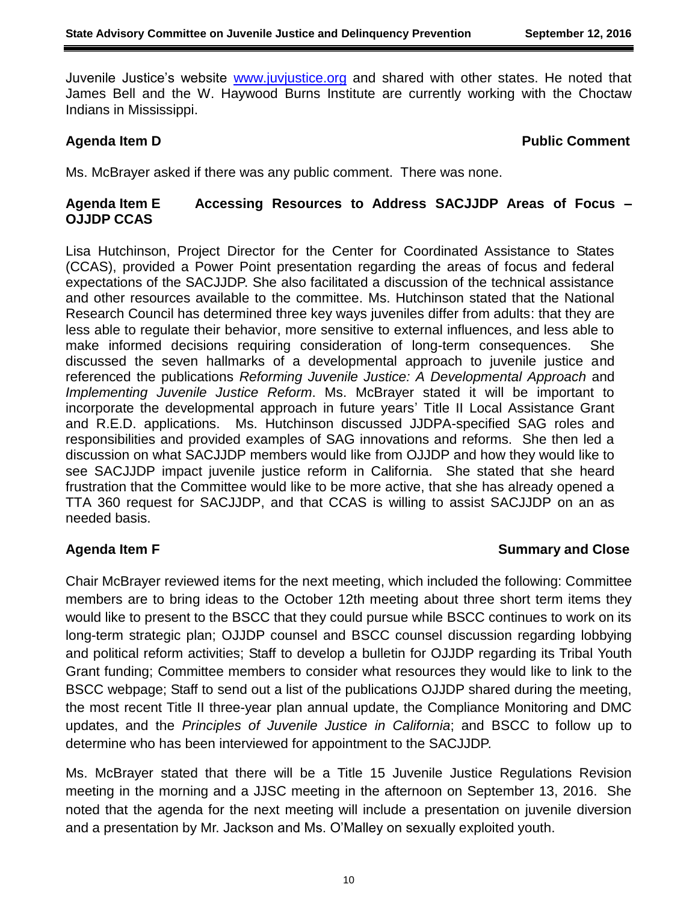Juvenile Justice's website [www.juvjustice.org](http://www.juvjustice.org/) and shared with other states. He noted that James Bell and the W. Haywood Burns Institute are currently working with the Choctaw Indians in Mississippi.

#### **Agenda Item D Public Comment**

Ms. McBrayer asked if there was any public comment. There was none.

## **Agenda Item E Accessing Resources to Address SACJJDP Areas of Focus – OJJDP CCAS**

Lisa Hutchinson, Project Director for the Center for Coordinated Assistance to States (CCAS), provided a Power Point presentation regarding the areas of focus and federal expectations of the SACJJDP. She also facilitated a discussion of the technical assistance and other resources available to the committee. Ms. Hutchinson stated that the National Research Council has determined three key ways juveniles differ from adults: that they are less able to regulate their behavior, more sensitive to external influences, and less able to make informed decisions requiring consideration of long-term consequences. She discussed the seven hallmarks of a developmental approach to juvenile justice and referenced the publications *Reforming Juvenile Justice: A Developmental Approach* and *Implementing Juvenile Justice Reform*. Ms. McBrayer stated it will be important to incorporate the developmental approach in future years' Title II Local Assistance Grant and R.E.D. applications. Ms. Hutchinson discussed JJDPA-specified SAG roles and responsibilities and provided examples of SAG innovations and reforms. She then led a discussion on what SACJJDP members would like from OJJDP and how they would like to see SACJJDP impact juvenile justice reform in California. She stated that she heard frustration that the Committee would like to be more active, that she has already opened a TTA 360 request for SACJJDP, and that CCAS is willing to assist SACJJDP on an as needed basis.

# **Agenda Item F Summary and Close**

Chair McBrayer reviewed items for the next meeting, which included the following: Committee members are to bring ideas to the October 12th meeting about three short term items they would like to present to the BSCC that they could pursue while BSCC continues to work on its long-term strategic plan; OJJDP counsel and BSCC counsel discussion regarding lobbying and political reform activities; Staff to develop a bulletin for OJJDP regarding its Tribal Youth Grant funding; Committee members to consider what resources they would like to link to the BSCC webpage; Staff to send out a list of the publications OJJDP shared during the meeting, the most recent Title II three-year plan annual update, the Compliance Monitoring and DMC updates, and the *Principles of Juvenile Justice in California*; and BSCC to follow up to determine who has been interviewed for appointment to the SACJJDP.

Ms. McBrayer stated that there will be a Title 15 Juvenile Justice Regulations Revision meeting in the morning and a JJSC meeting in the afternoon on September 13, 2016. She noted that the agenda for the next meeting will include a presentation on juvenile diversion and a presentation by Mr. Jackson and Ms. O'Malley on sexually exploited youth.